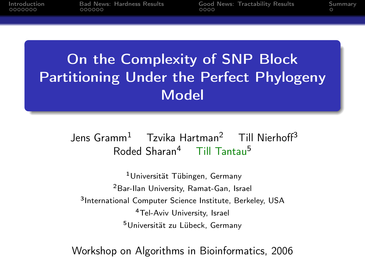[Bad News: Hardness Results](#page-13-0) [Good News: Tractability Results](#page-21-0) [Summary](#page-25-0)

# On the Complexity of SNP Block Partitioning Under the Perfect Phylogeny Model

Jens Gramm<sup>1</sup> Tzvika Hartman<sup>2</sup> Till Nierhoff<sup>3</sup> Roded Sharan<sup>4</sup> Till Tantau<sup>5</sup>

Universität Tübingen, Germany Bar-Ilan University, Ramat-Gan, Israel <sup>3</sup>International Computer Science Institute, Berkeley, USA Tel-Aviv University, Israel Universität zu Lübeck, Germany

Workshop on Algorithms in Bioinformatics, 2006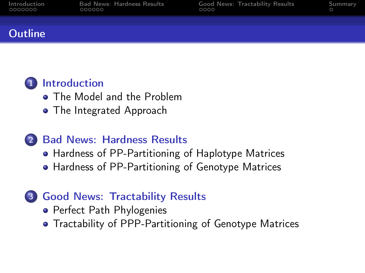| Introduction |  |
|--------------|--|
| 0000000      |  |

[Bad News: Hardness Results](#page-13-0) [Good News: Tractability Results](#page-21-0) [Summary](#page-25-0)<br>000000 0

### **Outline**

# **1** [Introduction](#page-2-0)

- **[The Model and the Problem](#page-2-0)**
- [The Integrated Approach](#page-6-0)

# 2 [Bad News: Hardness Results](#page-13-0)

- [Hardness of PP-Partitioning of Haplotype Matrices](#page-13-0)
- [Hardness of PP-Partitioning of Genotype Matrices](#page-17-0)

# 3 [Good News: Tractability Results](#page-21-0)

- **•** [Perfect Path Phylogenies](#page-21-0)
- [Tractability of PPP-Partitioning of Genotype Matrices](#page-24-0)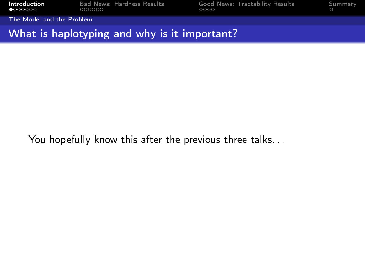<span id="page-2-0"></span>[Introduction](#page-2-0) [Bad News: Hardness Results](#page-13-0) [Good News: Tractability Results](#page-21-0) [Summary](#page-25-0)<br>• 000000 000000 00000 0000 0000 0000

[The Model and the Problem](#page-2-0)

### What is haplotyping and why is it important?

You hopefully know this after the previous three talks...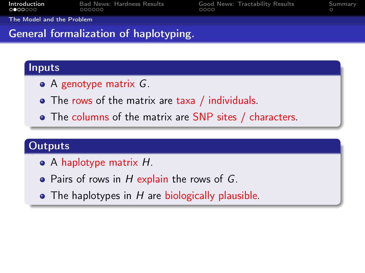| Introduction | <b>Bad News: Hardness Results</b> |  |
|--------------|-----------------------------------|--|
| 0000000      | 000000                            |  |

[Good News: Tractability Results](#page-21-0) [Summary](#page-25-0)

[The Model and the Problem](#page-2-0)

### General formalization of haplotyping.

### Inputs

- $\bullet$  A genotype matrix  $G$ .
- The rows of the matrix are taxa / individuals.
- The columns of the matrix are SNP sites / characters.

# **Outputs**

- A haplotype matrix H.
- Pairs of rows in  $H$  explain the rows of  $G$ .
- $\bullet$  The haplotypes in H are biologically plausible.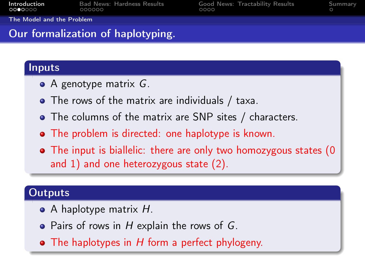| Introduction |        | <b>Bad News: Hardness Results</b> |  |
|--------------|--------|-----------------------------------|--|
| 0000000      | nooooo |                                   |  |

[Good News: Tractability Results](#page-21-0) [Summary](#page-25-0)

[The Model and the Problem](#page-2-0)

# Our formalization of haplotyping.

### Inputs

- $\bullet$  A genotype matrix  $G$ .
- The rows of the matrix are individuals / taxa.
- The columns of the matrix are SNP sites / characters.
- The problem is directed: one haplotype is known.
- The input is biallelic: there are only two homozygous states (0 and 1) and one heterozygous state (2).

### **Outputs**

- A haplotype matrix H.
- $\bullet$  Pairs of rows in H explain the rows of G.
- $\bullet$  The haplotypes in H form a perfect phylogeny.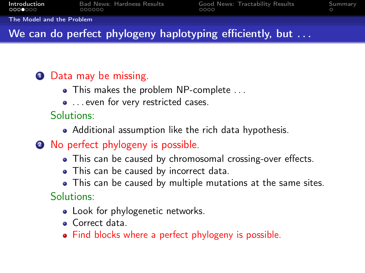#### [The Model and the Problem](#page-2-0)

# We can do perfect phylogeny haplotyping efficiently, but ...

### **1** Data may be missing.

- This makes the problem NP-complete ...
- $\bullet$  ... even for very restricted cases.

### Solutions:

- Additional assumption like the rich data hypothesis.
- 2 No perfect phylogeny is possible.
	- This can be caused by chromosomal crossing-over effects.
	- This can be caused by incorrect data.
	- This can be caused by multiple mutations at the same sites.

# Solutions:

- Look for phylogenetic networks.
- **·** Correct data.
- Find blocks where a perfect phylogeny is possible.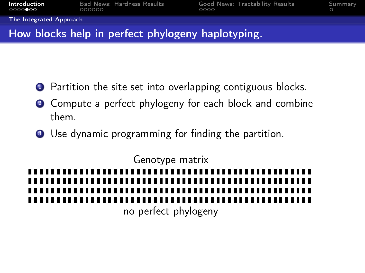<span id="page-6-0"></span>

| Introduction | <b>Bad News: Hardness Results</b> |  |
|--------------|-----------------------------------|--|
| 00000000     | 000000                            |  |

[Good News: Tractability Results](#page-21-0)  $\begin{array}{cc}\n0 & 0 \\
0 & 0\n\end{array}$ 

[The Integrated Approach](#page-6-0)

# How blocks help in perfect phylogeny haplotyping.

- **1** Partition the site set into overlapping contiguous blocks.
- 2 Compute a perfect phylogeny for each block and combine them.
- <sup>3</sup> Use dynamic programming for finding the partition.

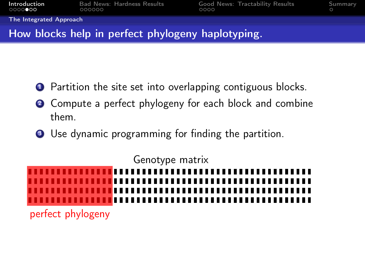| Introduction | <b>Bad News: Hardness Results</b> |  |
|--------------|-----------------------------------|--|
| 00000000     | 000000                            |  |

[Good News: Tractability Results](#page-21-0)  $\begin{array}{cc}\n0 & 0 \\
0 & 0\n\end{array}$ 

[The Integrated Approach](#page-6-0)

# How blocks help in perfect phylogeny haplotyping.

- **1** Partition the site set into overlapping contiguous blocks.
- 2 Compute a perfect phylogeny for each block and combine them.
- <sup>3</sup> Use dynamic programming for finding the partition.

Genotype matrix

perfect phylogeny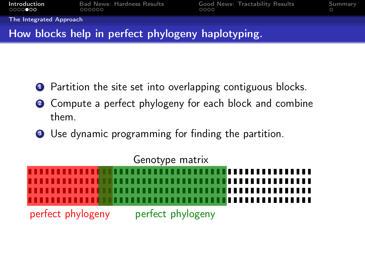| Introduction | <b>Bad News: Hardness Results</b> |  |
|--------------|-----------------------------------|--|
| 0000000      | 000000                            |  |

[Good News: Tractability Results](#page-21-0) [Summary](#page-25-0)

[The Integrated Approach](#page-6-0)

# How blocks help in perfect phylogeny haplotyping.

- **1** Partition the site set into overlapping contiguous blocks.
- 2 Compute a perfect phylogeny for each block and combine them.
- <sup>3</sup> Use dynamic programming for finding the partition.

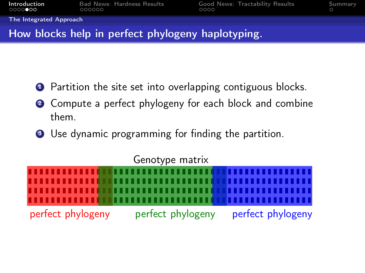| Introduction | Bad News: Hardness Results |  |
|--------------|----------------------------|--|
| 00000000     | 000000                     |  |

[Good News: Tractability Results](#page-21-0)  $\begin{array}{cc}\n0 & 0 \\
0 & 0\n\end{array}$ 

[The Integrated Approach](#page-6-0)

# How blocks help in perfect phylogeny haplotyping.

- **1** Partition the site set into overlapping contiguous blocks.
- 2 Compute a perfect phylogeny for each block and combine them.
- <sup>3</sup> Use dynamic programming for finding the partition.

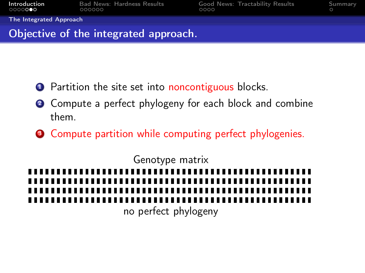| Introduction            | <b>Bad News: Hardness Results</b> | Good News: Tractability Results | Summary |
|-------------------------|-----------------------------------|---------------------------------|---------|
| 0000000                 | 000000                            | 0000                            |         |
| The Integrated Approach |                                   |                                 |         |

### Objective of the integrated approach.

- **1** Partition the site set into noncontiguous blocks.
- <sup>2</sup> Compute a perfect phylogeny for each block and combine them.
- **3** Compute partition while computing perfect phylogenies.

Genotype matrix no perfect phylogeny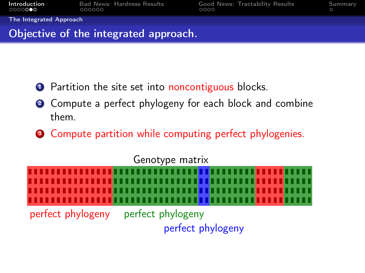| Introduction<br>0000000 | <b>Bad News: Hardness Results</b><br>000000 | 0000 | Good News: Tractability Results | Summary |
|-------------------------|---------------------------------------------|------|---------------------------------|---------|
| The Integrated Approach |                                             |      |                                 |         |
|                         | Objective of the integrated approach.       |      |                                 |         |

- **1** Partition the site set into noncontiguous blocks.
- 2 Compute a perfect phylogeny for each block and combine them.
- **3** Compute partition while computing perfect phylogenies.

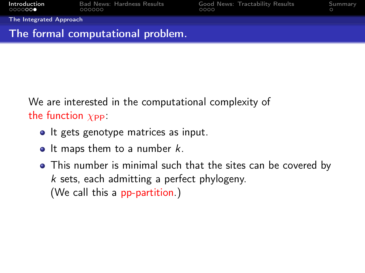**[Introduction](#page-2-0)** [Bad News: Hardness Results](#page-13-0) [Good News: Tractability Results](#page-21-0) [Summary](#page-25-0)<br>0000000 000000 000000 0000

[The Integrated Approach](#page-6-0)

### The formal computational problem.

We are interested in the computational complexity of the function  $\chi_{\text{PP}}$ :

- It gets genotype matrices as input.
- $\bullet$  It maps them to a number k.
- This number is minimal such that the sites can be covered by k sets, each admitting a perfect phylogeny. (We call this a pp-partition.)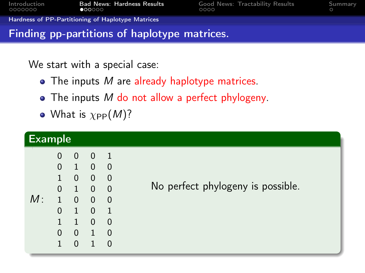<span id="page-13-0"></span>

| Introduction |        | Bad News: Hardness Re |
|--------------|--------|-----------------------|
| 0000000      | 000000 |                       |

**[Introduction](#page-2-0) Band News:** Tractability Results [Summary](#page-25-0)

#### [Hardness of PP-Partitioning of Haplotype Matrices](#page-13-0)

### Finding pp-partitions of haplotype matrices.

We start with a special case:

- $\bullet$  The inputs M are already haplotype matrices.
- The inputs M do not allow a perfect phylogeny.
- What is  $\chi_{\rm PP}(M)$ ?

| <b>Example</b> |                                                                                                              |                                                                                                                                      |                                                                                                                                              |                                                                                                                               |                                   |
|----------------|--------------------------------------------------------------------------------------------------------------|--------------------------------------------------------------------------------------------------------------------------------------|----------------------------------------------------------------------------------------------------------------------------------------------|-------------------------------------------------------------------------------------------------------------------------------|-----------------------------------|
| M:             | 0<br>$\overline{0}$<br>$\mathbf{1}$<br>$\overline{0}$<br>$\mathbf{1}$<br>$\overline{0}$<br>$\mathbf{1}$<br>0 | $\overline{0}$<br>$\mathbf{1}$<br>$\overline{0}$<br>$\mathbf{1}$<br>$\overline{0}$<br>$\mathbf{1}$<br>$\mathbf{1}$<br>$\overline{0}$ | $\overline{0}$<br>$\overline{0}$<br>$\overline{0}$<br>$\overline{0}$<br>$\overline{0}$<br>$\overline{0}$<br>$\overline{0}$<br>$\overline{1}$ | $\blacksquare$<br>$\overline{0}$<br>0<br>$\overline{\phantom{0}}$<br>$\overline{0}$<br>$\overline{1}$<br>$\Omega$<br>$\Omega$ | No perfect phylogeny is possible. |
|                |                                                                                                              | $\Omega$                                                                                                                             |                                                                                                                                              | O                                                                                                                             |                                   |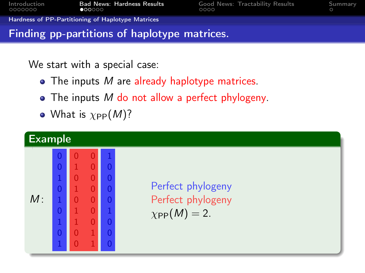| Introduction | Bad Ne         |
|--------------|----------------|
| 0000000      | $\bullet$ 0000 |

**EXECT:** Intervals Cood News: Tractability Results [Summary](#page-25-0)<br>OCOO

[Hardness of PP-Partitioning of Haplotype Matrices](#page-13-0)

### Finding pp-partitions of haplotype matrices.

We start with a special case:

- $\bullet$  The inputs M are already haplotype matrices.
- $\bullet$  The inputs M do not allow a perfect phylogeny.
- What is  $\chi_{\rm PP}(M)$ ?

|    | Example                                                                                                                                     |                                     |   |  |                                                                 |  |  |  |  |  |
|----|---------------------------------------------------------------------------------------------------------------------------------------------|-------------------------------------|---|--|-----------------------------------------------------------------|--|--|--|--|--|
| M: | $\overline{0}$<br>$\overline{0}$<br>$\mathbf{1}$<br>$\overline{0}$<br>$\mathbf{1}$<br>$\overline{0}$<br>$\mathbf{1}$<br>$\overline{0}$<br>T | 0<br>0<br>$\Omega$<br>$\Omega$<br>⋂ | N |  | Perfect phylogeny<br>Perfect phylogeny<br>$\chi_{\rm PP}(M)=2.$ |  |  |  |  |  |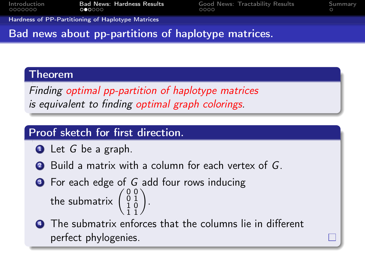[Introduction](#page-2-0) **[Bad News: Hardness Results](#page-13-0)** [Good News: Tractability Results](#page-21-0) [Summary](#page-25-0)<br>0000000 **GOOOO** COOO

[Hardness of PP-Partitioning of Haplotype Matrices](#page-13-0)

### Bad news about pp-partitions of haplotype matrices.

### Theorem

Finding optimal pp-partition of haplotype matrices is equivalent to finding optimal graph colorings.

### Proof sketch for first direction.

- $\bullet$  Let G be a graph.
- 2 Build a matrix with a column for each vertex of G.
- **3** For each edge of G add four rows inducing the submatrix  $\begin{pmatrix} 0 & 0 \\ 0 & 1 \\ 1 & 0 \\ 1 & 1 \end{pmatrix}$ .
- **4** The submatrix enforces that the columns lie in different perfect phylogenies.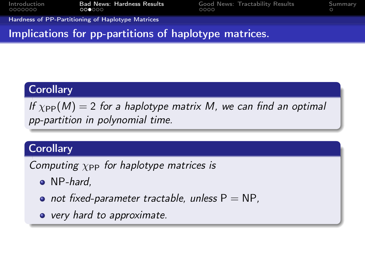[Introduction](#page-2-0) **[Bad News: Hardness Results](#page-13-0)** [Good News: Tractability Results](#page-21-0) [Summary](#page-25-0)<br>0000000 000000 00000 0000 0000 0000

[Hardness of PP-Partitioning of Haplotype Matrices](#page-13-0)

Implications for pp-partitions of haplotype matrices.

# **Corollary**

If  $\chi_{\rm PP}(M) = 2$  for a haplotype matrix M, we can find an optimal pp-partition in polynomial time.

### **Corollary**

Computing  $\chi_{\text{PP}}$  for haplotype matrices is

- NP-hard,
- not fixed-parameter tractable, unless  $P = NP$ ,
- very hard to approximate.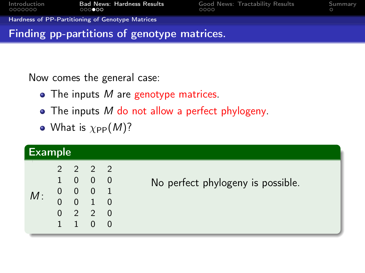<span id="page-17-0"></span>

| Introduction<br>0000000 | <b>Bad News: Hardness Results</b><br>000000      | 0000 | Good News: Tractability Results | Summary |
|-------------------------|--------------------------------------------------|------|---------------------------------|---------|
|                         | Hardness of PP-Partitioning of Genotype Matrices |      |                                 |         |
|                         | Finding pp-partitions of genotype matrices.      |      |                                 |         |

Now comes the general case:

- $\bullet$  The inputs M are genotype matrices.
- $\bullet$  The inputs M do not allow a perfect phylogeny.
- What is  $\chi_{\rm PP}(M)$ ?

| <b>Example</b> |          |  |                             |  |                                   |  |  |  |
|----------------|----------|--|-----------------------------|--|-----------------------------------|--|--|--|
|                |          |  | $2 \t2 \t2 \t2$             |  |                                   |  |  |  |
| M:             |          |  | 1 0 0 0                     |  | No perfect phylogeny is possible. |  |  |  |
|                |          |  | $0 \t 0 \t 0 \t 1$          |  |                                   |  |  |  |
|                | $\Omega$ |  | $0 \quad 1 \quad 0$         |  |                                   |  |  |  |
|                |          |  | $0 \quad 2 \quad 2 \quad 0$ |  |                                   |  |  |  |
|                | 1        |  | 1 0 0                       |  |                                   |  |  |  |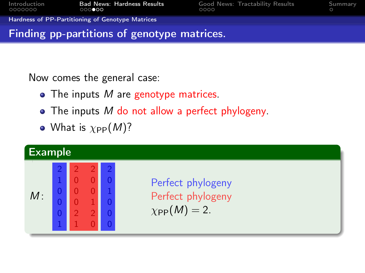| Introduction | <b>Bad News: Hardness Results</b>                | Good News: Tractability Results | Summary |
|--------------|--------------------------------------------------|---------------------------------|---------|
| 0000000      | 000000                                           | ററററ                            |         |
|              | Hardness of PP-Partitioning of Genotype Matrices |                                 |         |

Now comes the general case:

 $\bullet$  The inputs M are genotype matrices.

Finding pp-partitions of genotype matrices.

- $\bullet$  The inputs M do not allow a perfect phylogeny.
- What is  $\chi_{\rm PP}(M)$ ?

| <b>Example</b> |        |  |  |  |                                                                 |  |  |  |
|----------------|--------|--|--|--|-----------------------------------------------------------------|--|--|--|
| M:             | $\Box$ |  |  |  | Perfect phylogeny<br>Perfect phylogeny<br>$\chi_{\rm PP}(M)=2.$ |  |  |  |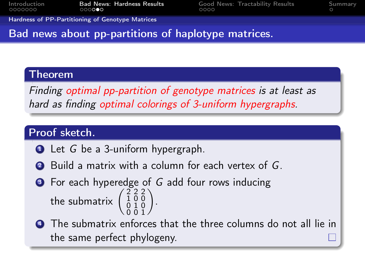[Introduction](#page-2-0) [Bad News: Hardness Results](#page-13-0) [Good News: Tractability Results](#page-21-0) [Summary](#page-25-0)

[Hardness of PP-Partitioning of Genotype Matrices](#page-17-0)

### Bad news about pp-partitions of haplotype matrices.

### Theorem

Finding optimal pp-partition of genotype matrices is at least as hard as finding optimal colorings of 3-uniform hypergraphs.

### Proof sketch.

- **1** Let G be a 3-uniform hypergraph.
- 2 Build a matrix with a column for each vertex of G.
- **3** For each hyperedge of G add four rows inducing the submatrix  $\begin{pmatrix} 2 & 2 & 2 \\ 1 & 0 & 0 \\ 0 & 1 & 0 \\ 0 & 0 & 1 \end{pmatrix}$ .
- **4** The submatrix enforces that the three columns do not all lie in the same perfect phylogeny.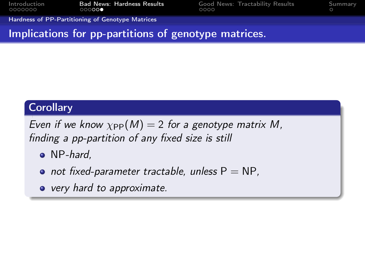[Introduction](#page-2-0) [Bad News: Hardness Results](#page-13-0) [Good News: Tractability Results](#page-21-0) [Summary](#page-25-0)

[Hardness of PP-Partitioning of Genotype Matrices](#page-17-0)

Implications for pp-partitions of genotype matrices.

# **Corollary**

Even if we know  $\chi_{\rm PP}(M) = 2$  for a genotype matrix M, finding a pp-partition of any fixed size is still

- NP-hard,
- not fixed-parameter tractable, unless  $P = NP$ ,
- very hard to approximate.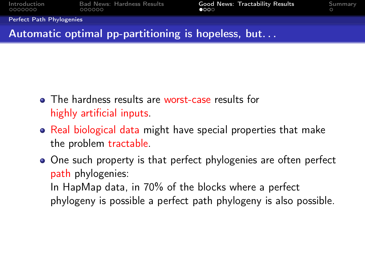<span id="page-21-0"></span>

| <b>Introduction</b> | Bad N |  |  |
|---------------------|-------|--|--|
| 0000000             | 00000 |  |  |

ews: Hardness Results **[Good News: Tractability Results](#page-21-0)** [Summary](#page-25-0)

[Perfect Path Phylogenies](#page-21-0)

### Automatic optimal pp-partitioning is hopeless, but. . .

- The hardness results are worst-case results for highly artificial inputs.
- Real biological data might have special properties that make the problem tractable.
- One such property is that perfect phylogenies are often perfect path phylogenies:

In HapMap data, in 70% of the blocks where a perfect phylogeny is possible a perfect path phylogeny is also possible.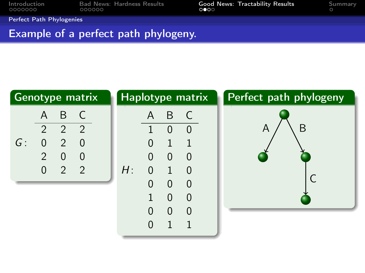[Introduction](#page-2-0) [Bad News: Hardness Results](#page-13-0) [Good News: Tractability Results](#page-21-0) [Summary](#page-25-0)

[Perfect Path Phylogenies](#page-21-0)

### Example of a perfect path phylogeny.

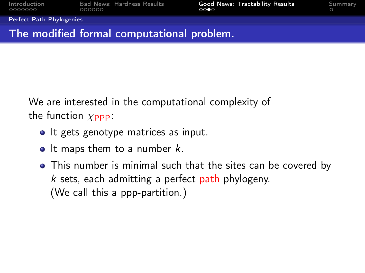| Introduction |
|--------------|
| 0000000      |

[Perfect Path Phylogenies](#page-21-0)

### The modified formal computational problem.

We are interested in the computational complexity of the function  $\chi_{\text{PPP}}$ :

- It gets genotype matrices as input.
- $\bullet$  It maps them to a number k.
- This number is minimal such that the sites can be covered by  $k$  sets, each admitting a perfect path phylogeny. (We call this a ppp-partition.)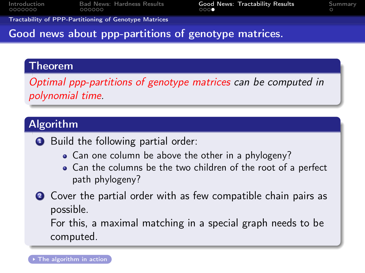<span id="page-24-0"></span>[Introduction](#page-2-0) [Bad News: Hardness Results](#page-13-0) [Good News: Tractability Results](#page-21-0) [Summary](#page-25-0)

[Tractability of PPP-Partitioning of Genotype Matrices](#page-24-0)

### Good news about ppp-partitions of genotype matrices.

### Theorem

Optimal ppp-partitions of genotype matrices can be computed in polynomial time.

# Algorithm

**1** Build the following partial order:

- Can one column be above the other in a phylogeny?
- Can the columns be the two children of the root of a perfect path phylogeny?
- **2** Cover the partial order with as few compatible chain pairs as possible.

<span id="page-24-1"></span>For this, a maximal matching in a special graph needs to be computed.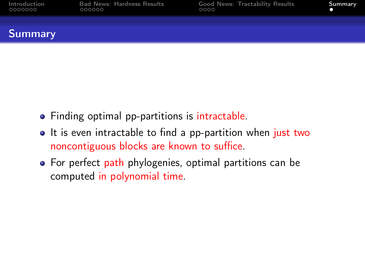

### <span id="page-25-0"></span>**Summary**

- Finding optimal pp-partitions is intractable.
- It is even intractable to find a pp-partition when just two noncontiguous blocks are known to suffice.
- For perfect path phylogenies, optimal partitions can be computed in polynomial time.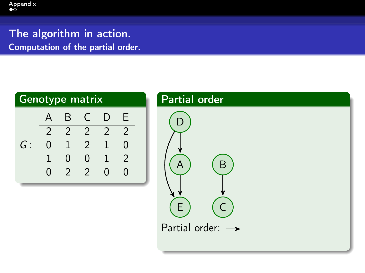<span id="page-26-1"></span>The algorithm in action. Computation of the partial order.

<span id="page-26-0"></span>

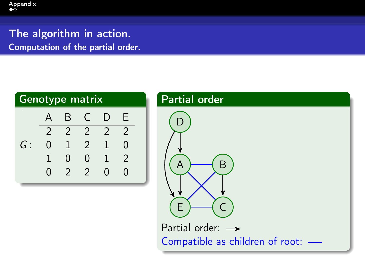### The algorithm in action. Computation of the partial order.

| <b>Genotype matrix</b> |                  |                |                |               |                |  |  |  |
|------------------------|------------------|----------------|----------------|---------------|----------------|--|--|--|
|                        | A                | B              | C              | I)            | E              |  |  |  |
|                        | $\mathfrak{D}$   | $\overline{2}$ | $\mathcal{L}$  | $\mathcal{P}$ | $\mathfrak{D}$ |  |  |  |
| G:                     | N                | 1              | $\mathcal{P}$  |               | N              |  |  |  |
|                        |                  | Ⴖ              | U              |               | $\mathfrak{D}$ |  |  |  |
|                        | $\mathbf \Omega$ | $\mathcal{P}$  | $\overline{2}$ | $\Omega$      | O              |  |  |  |

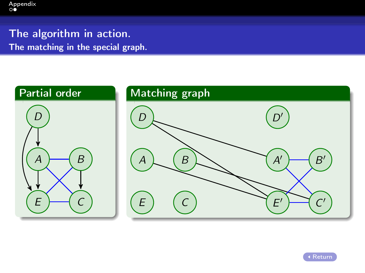The algorithm in action. The matching in the special graph.



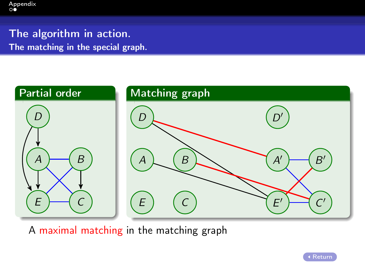The algorithm in action. The matching in the special graph.



A maximal matching in the matching graph